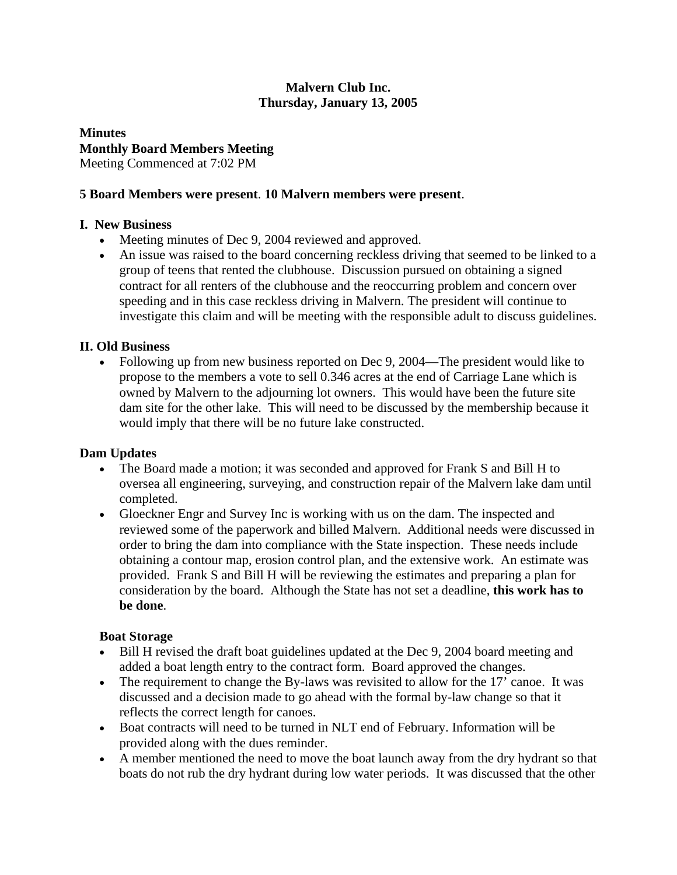#### **Malvern Club Inc. Thursday, January 13, 2005**

# **Minutes Monthly Board Members Meeting**

Meeting Commenced at 7:02 PM

### **5 Board Members were present**. **10 Malvern members were present**.

# **I. New Business**

- Meeting minutes of Dec 9, 2004 reviewed and approved.
- An issue was raised to the board concerning reckless driving that seemed to be linked to a group of teens that rented the clubhouse. Discussion pursued on obtaining a signed contract for all renters of the clubhouse and the reoccurring problem and concern over speeding and in this case reckless driving in Malvern. The president will continue to investigate this claim and will be meeting with the responsible adult to discuss guidelines.

# **II. Old Business**

• Following up from new business reported on Dec 9, 2004—The president would like to propose to the members a vote to sell 0.346 acres at the end of Carriage Lane which is owned by Malvern to the adjourning lot owners. This would have been the future site dam site for the other lake. This will need to be discussed by the membership because it would imply that there will be no future lake constructed.

#### **Dam Updates**

- The Board made a motion; it was seconded and approved for Frank S and Bill H to oversea all engineering, surveying, and construction repair of the Malvern lake dam until completed.
- Gloeckner Engr and Survey Inc is working with us on the dam. The inspected and reviewed some of the paperwork and billed Malvern. Additional needs were discussed in order to bring the dam into compliance with the State inspection. These needs include obtaining a contour map, erosion control plan, and the extensive work. An estimate was provided. Frank S and Bill H will be reviewing the estimates and preparing a plan for consideration by the board. Although the State has not set a deadline, **this work has to be done**.

#### **Boat Storage**

- Bill H revised the draft boat guidelines updated at the Dec 9, 2004 board meeting and added a boat length entry to the contract form. Board approved the changes.
- The requirement to change the By-laws was revisited to allow for the 17' canoe. It was discussed and a decision made to go ahead with the formal by-law change so that it reflects the correct length for canoes.
- Boat contracts will need to be turned in NLT end of February. Information will be provided along with the dues reminder.
- A member mentioned the need to move the boat launch away from the dry hydrant so that boats do not rub the dry hydrant during low water periods. It was discussed that the other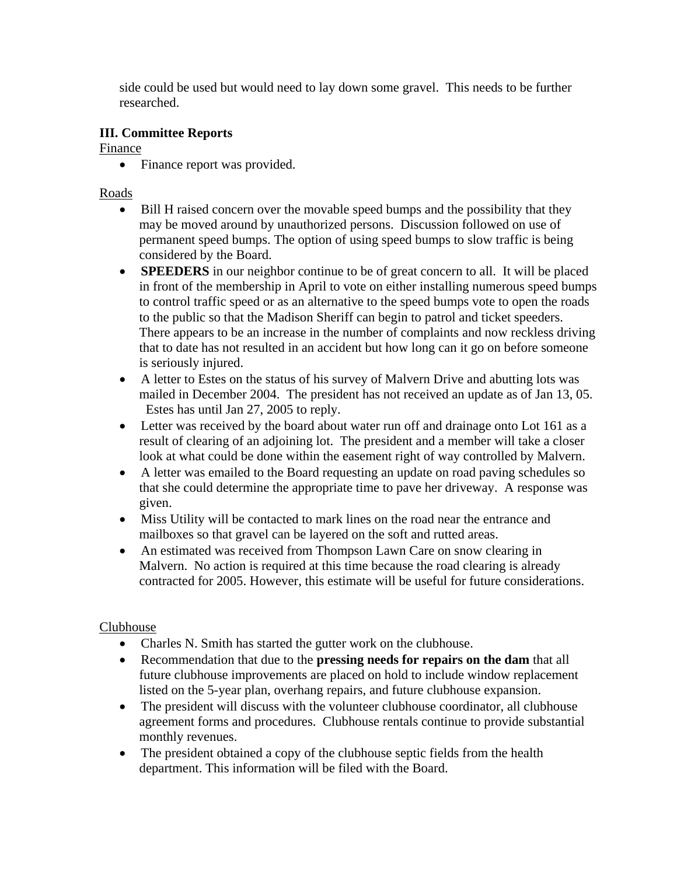side could be used but would need to lay down some gravel. This needs to be further researched.

## **III. Committee Reports**

Finance

• Finance report was provided.

Roads

- Bill H raised concern over the movable speed bumps and the possibility that they may be moved around by unauthorized persons. Discussion followed on use of permanent speed bumps. The option of using speed bumps to slow traffic is being considered by the Board.
- **SPEEDERS** in our neighbor continue to be of great concern to all. It will be placed in front of the membership in April to vote on either installing numerous speed bumps to control traffic speed or as an alternative to the speed bumps vote to open the roads to the public so that the Madison Sheriff can begin to patrol and ticket speeders. There appears to be an increase in the number of complaints and now reckless driving that to date has not resulted in an accident but how long can it go on before someone is seriously injured.
- A letter to Estes on the status of his survey of Malvern Drive and abutting lots was mailed in December 2004. The president has not received an update as of Jan 13, 05. Estes has until Jan 27, 2005 to reply.
- Letter was received by the board about water run off and drainage onto Lot 161 as a result of clearing of an adjoining lot. The president and a member will take a closer look at what could be done within the easement right of way controlled by Malvern.
- A letter was emailed to the Board requesting an update on road paving schedules so that she could determine the appropriate time to pave her driveway. A response was given.
- Miss Utility will be contacted to mark lines on the road near the entrance and mailboxes so that gravel can be layered on the soft and rutted areas.
- An estimated was received from Thompson Lawn Care on snow clearing in Malvern. No action is required at this time because the road clearing is already contracted for 2005. However, this estimate will be useful for future considerations.

# Clubhouse

- Charles N. Smith has started the gutter work on the clubhouse.
- Recommendation that due to the **pressing needs for repairs on the dam** that all future clubhouse improvements are placed on hold to include window replacement listed on the 5-year plan, overhang repairs, and future clubhouse expansion.
- The president will discuss with the volunteer clubhouse coordinator, all clubhouse agreement forms and procedures. Clubhouse rentals continue to provide substantial monthly revenues.
- The president obtained a copy of the clubhouse septic fields from the health department. This information will be filed with the Board.